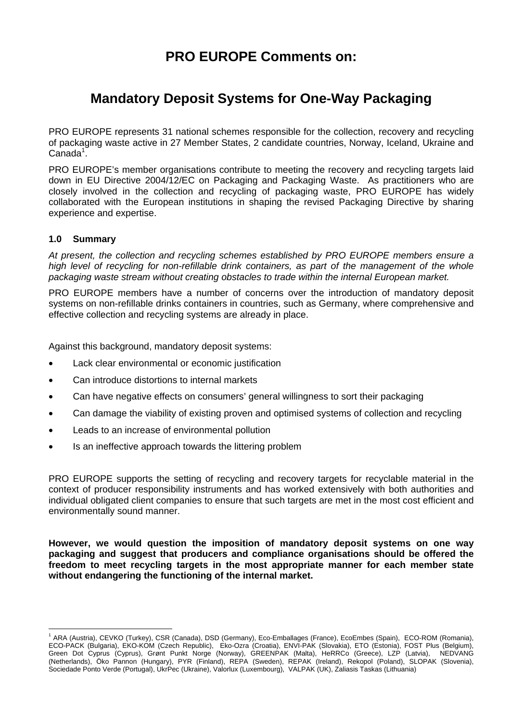# **PRO EUROPE Comments on:**

# **Mandatory Deposit Systems for One-Way Packaging**

PRO EUROPE represents 31 national schemes responsible for the collection, recovery and recycling of packaging waste active in 27 Member States, 2 candidate countries, Norway, Iceland, Ukraine and  $C$ anada<sup>[1](#page-0-0)</sup>.

PRO EUROPE's member organisations contribute to meeting the recovery and recycling targets laid down in EU Directive 2004/12/EC on Packaging and Packaging Waste. As practitioners who are closely involved in the collection and recycling of packaging waste, PRO EUROPE has widely collaborated with the European institutions in shaping the revised Packaging Directive by sharing experience and expertise.

# **1.0 Summary**

 $\overline{a}$ 

*At present, the collection and recycling schemes established by PRO EUROPE members ensure a high level of recycling for non-refillable drink containers, as part of the management of the whole packaging waste stream without creating obstacles to trade within the internal European market.* 

PRO EUROPE members have a number of concerns over the introduction of mandatory deposit systems on non-refillable drinks containers in countries, such as Germany, where comprehensive and effective collection and recycling systems are already in place.

Against this background, mandatory deposit systems:

- Lack clear environmental or economic justification
- Can introduce distortions to internal markets
- Can have negative effects on consumers' general willingness to sort their packaging
- Can damage the viability of existing proven and optimised systems of collection and recycling
- Leads to an increase of environmental pollution
- Is an ineffective approach towards the littering problem

PRO EUROPE supports the setting of recycling and recovery targets for recyclable material in the context of producer responsibility instruments and has worked extensively with both authorities and individual obligated client companies to ensure that such targets are met in the most cost efficient and environmentally sound manner.

**However, we would question the imposition of mandatory deposit systems on one way packaging and suggest that producers and compliance organisations should be offered the freedom to meet recycling targets in the most appropriate manner for each member state without endangering the functioning of the internal market.** 

<span id="page-0-0"></span><sup>1</sup> ARA (Austria), CEVKO (Turkey), CSR (Canada), DSD (Germany), Eco-Emballages (France), EcoEmbes (Spain), ECO-ROM (Romania), ECO-PACK (Bulgaria), EKO-KOM (Czech Republic), Eko-Ozra (Croatia), ENVI-PAK (Slovakia), ETO (Estonia), FOST Plus (Belgium), Green Dot Cyprus (Cyprus), Grønt Punkt Norge (Norway), GREENPAK (Malta), HeRRCo (Greece), LZP (Latvia), NEDVANG (Netherlands), Öko Pannon (Hungary), PYR (Finland), REPA (Sweden), REPAK (Ireland), Rekopol (Poland), SLOPAK (Slovenia), Sociedade Ponto Verde (Portugal), UkrPec (Ukraine), Valorlux (Luxembourg), VALPAK (UK), Zaliasis Taskas (Lithuania)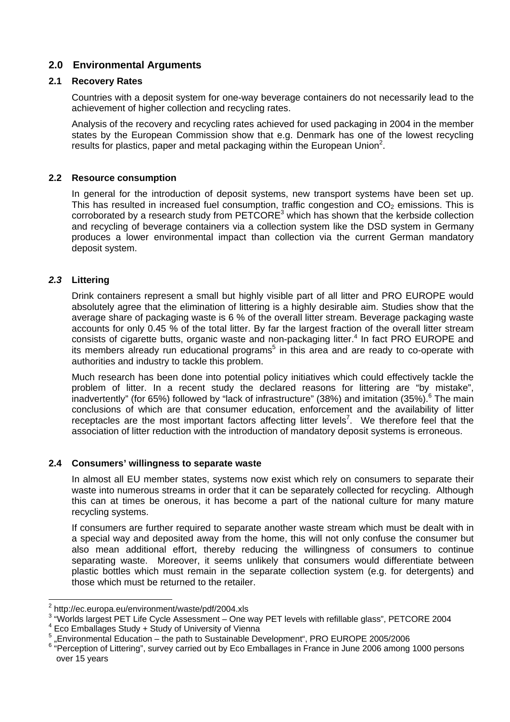# **2.0 Environmental Arguments**

### **2.1 Recovery Rates**

Countries with a deposit system for one-way beverage containers do not necessarily lead to the achievement of higher collection and recycling rates.

Analysis of the recovery and recycling rates achieved for used packaging in 2004 in the member states by the European Commission show that e.g. Denmark has one of the lowest recycling results for plastics, paper and metal packaging within the European Union<sup>[2](#page-1-0)</sup>.

# **2.2 Resource consumption**

In general for the introduction of deposit systems, new transport systems have been set up. This has resulted in increased fuel consumption, traffic congestion and  $CO<sub>2</sub>$  emissions. This is corroborated by a research study from PETCORE<sup>[3](#page-1-1)</sup> which has shown that the kerbside collection and recycling of beverage containers via a collection system like the DSD system in Germany produces a lower environmental impact than collection via the current German mandatory deposit system.

# *2.3* **Littering**

 $\overline{a}$ 

Drink containers represent a small but highly visible part of all litter and PRO EUROPE would absolutely agree that the elimination of littering is a highly desirable aim. Studies show that the average share of packaging waste is 6 % of the overall litter stream. Beverage packaging waste accounts for only 0.45 % of the total litter. By far the largest fraction of the overall litter stream consists of cigarette butts, organic waste and non-packaging litter.<sup>4</sup> In fact PRO EUROPE and its members already run educational programs<sup>[5](#page-1-3)</sup> in this area and are ready to co-operate with authorities and industry to tackle this problem.

Much research has been done into potential policy initiatives which could effectively tackle the problem of litter. In a recent study the declared reasons for littering are "by mistake", inadvertently" (for [6](#page-1-4)5%) followed by "lack of infrastructure" (38%) and imitation (35%). <sup>6</sup> The main conclusions of which are that consumer education, enforcement and the availability of litter receptacles are the most important factors affecting litter levels<sup>7</sup>. We therefore feel that the association of litter reduction with the introduction of mandatory deposit systems is erroneous.

### **2.4 Consumers' willingness to separate waste**

In almost all EU member states, systems now exist which rely on consumers to separate their waste into numerous streams in order that it can be separately collected for recycling. Although this can at times be onerous, it has become a part of the national culture for many mature recycling systems.

If consumers are further required to separate another waste stream which must be dealt with in a special way and deposited away from the home, this will not only confuse the consumer but also mean additional effort, thereby reducing the willingness of consumers to continue separating waste. Moreover, it seems unlikely that consumers would differentiate between plastic bottles which must remain in the separate collection system (e.g. for detergents) and those which must be returned to the retailer.

<span id="page-1-0"></span><sup>&</sup>lt;sup>2</sup> http://ec.europa.eu/environment/waste/pdf/2004.xls<br><sup>3 "Moride Israest PET Life Cycle Assessment Che.y</sup>

<span id="page-1-1"></span><sup>&</sup>lt;sup>3</sup> "Worlds largest PET Life Cycle Assessment – One way PET levels with refillable glass", PETCORE 2004

<span id="page-1-2"></span><sup>4</sup> Eco Emballages Study + Study of University of Vienna

<span id="page-1-5"></span><span id="page-1-3"></span><sup>5</sup> "Environmental Education – the path to Sustainable Development", PRO EUROPE 2005/2006

<span id="page-1-4"></span><sup>&</sup>lt;sup>6</sup> "Perception of Littering", survey carried out by Eco Emballages in France in June 2006 among 1000 persons over 15 years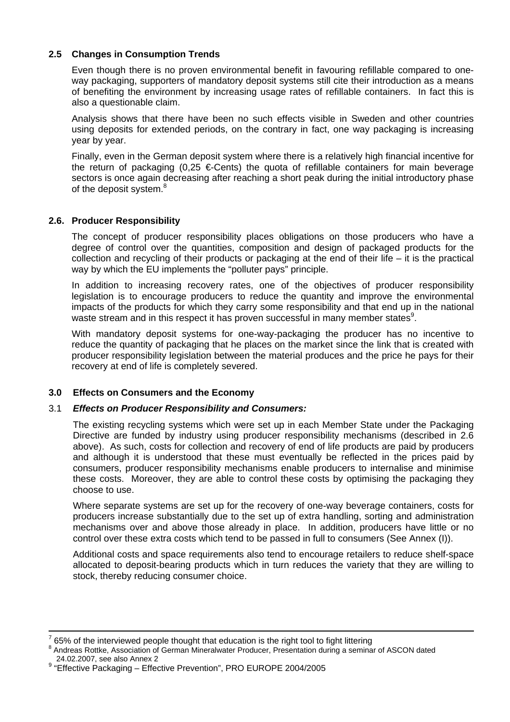# **2.5 Changes in Consumption Trends**

Even though there is no proven environmental benefit in favouring refillable compared to oneway packaging, supporters of mandatory deposit systems still cite their introduction as a means of benefiting the environment by increasing usage rates of refillable containers. In fact this is also a questionable claim.

Analysis shows that there have been no such effects visible in Sweden and other countries using deposits for extended periods, on the contrary in fact, one way packaging is increasing year by year.

Finally, even in the German deposit system where there is a relatively high financial incentive for the return of packaging (0,25  $\in$ Cents) the quota of refillable containers for main beverage sectors is once again decreasing after reaching a short peak during the initial introductory phase of the deposit system.<sup>[8](#page-2-0)</sup>

# **2.6. Producer Responsibility**

The concept of producer responsibility places obligations on those producers who have a degree of control over the quantities, composition and design of packaged products for the collection and recycling of their products or packaging at the end of their life – it is the practical way by which the EU implements the "polluter pays" principle.

In addition to increasing recovery rates, one of the objectives of producer responsibility legislation is to encourage producers to reduce the quantity and improve the environmental impacts of the products for which they carry some responsibility and that end up in the national waste stream and in this respect it has proven successful in many member states<sup>9</sup>[.](#page-2-1)

With mandatory deposit systems for one-way-packaging the producer has no incentive to reduce the quantity of packaging that he places on the market since the link that is created with producer responsibility legislation between the material produces and the price he pays for their recovery at end of life is completely severed.

# **3.0 Effects on Consumers and the Economy**

# 3.1 *Effects on Producer Responsibility and Consumers:*

The existing recycling systems which were set up in each Member State under the Packaging Directive are funded by industry using producer responsibility mechanisms (described in 2.6 above). As such, costs for collection and recovery of end of life products are paid by producers and although it is understood that these must eventually be reflected in the prices paid by consumers, producer responsibility mechanisms enable producers to internalise and minimise these costs. Moreover, they are able to control these costs by optimising the packaging they choose to use.

Where separate systems are set up for the recovery of one-way beverage containers, costs for producers increase substantially due to the set up of extra handling, sorting and administration mechanisms over and above those already in place. In addition, producers have little or no control over these extra costs which tend to be passed in full to consumers (See Annex (I)).

Additional costs and space requirements also tend to encourage retailers to reduce shelf-space allocated to deposit-bearing products which in turn reduces the variety that they are willing to stock, thereby reducing consumer choice.

<sup>-&</sup>lt;br>7  $\frac{6}{100}$  of the interviewed people thought that education is the right tool to fight littering  $\frac{8}{100}$  and the continues are coming to a common

<span id="page-2-0"></span>Andreas Rottke, Association of German Mineralwater Producer, Presentation during a seminar of ASCON dated 24.02.2007, see also Annex 2

<span id="page-2-1"></span><sup>&</sup>lt;sup>9</sup> "Effective Packaging - Effective Prevention", PRO EUROPE 2004/2005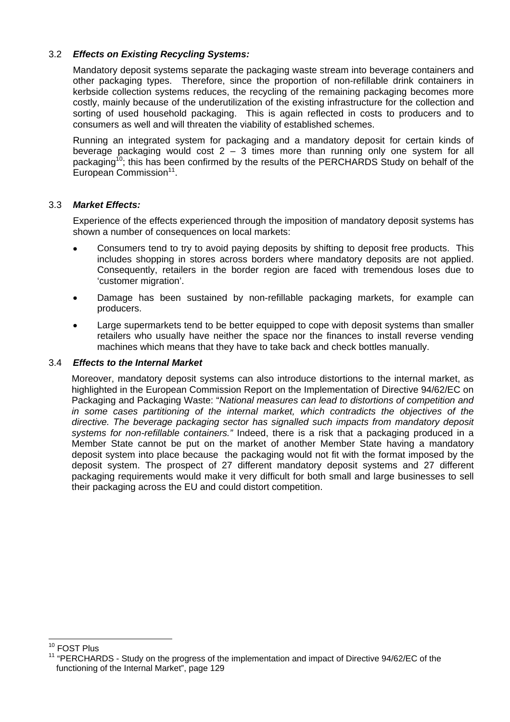# 3.2 *Effects on Existing Recycling Systems:*

Mandatory deposit systems separate the packaging waste stream into beverage containers and other packaging types. Therefore, since the proportion of non-refillable drink containers in kerbside collection systems reduces, the recycling of the remaining packaging becomes more costly, mainly because of the underutilization of the existing infrastructure for the collection and sorting of used household packaging. This is again reflected in costs to producers and to consumers as well and will threaten the viability of established schemes.

Running an integrated system for packaging and a mandatory deposit for certain kinds of beverage packaging would cost  $2 - 3$  times more than running only one system for all packaging<sup>10</sup>; this has been confirmed by the results of the PERCHARDS Study on behalf of the European Commission<sup>11</sup>.

# 3.3 *Market Effects:*

Experience of the effects experienced through the imposition of mandatory deposit systems has shown a number of consequences on local markets:

- Consumers tend to try to avoid paying deposits by shifting to deposit free products. This includes shopping in stores across borders where mandatory deposits are not applied. Consequently, retailers in the border region are faced with tremendous loses due to 'customer migration'.
- Damage has been sustained by non-refillable packaging markets, for example can producers.
- Large supermarkets tend to be better equipped to cope with deposit systems than smaller retailers who usually have neither the space nor the finances to install reverse vending machines which means that they have to take back and check bottles manually.

## 3.4 *Effects to the Internal Market*

Moreover, mandatory deposit systems can also introduce distortions to the internal market, as highlighted in the European Commission Report on the Implementation of Directive 94/62/EC on Packaging and Packaging Waste: "*National measures can lead to distortions of competition and in some cases partitioning of the internal market, which contradicts the objectives of the directive. The beverage packaging sector has signalled such impacts from mandatory deposit systems for non-refillable containers."* Indeed, there is a risk that a packaging produced in a Member State cannot be put on the market of another Member State having a mandatory deposit system into place because the packaging would not fit with the format imposed by the deposit system. The prospect of 27 different mandatory deposit systems and 27 different packaging requirements would make it very difficult for both small and large businesses to sell their packaging across the EU and could distort competition.

 $\overline{a}$ <sup>10</sup> FOST Plus

<span id="page-3-1"></span><span id="page-3-0"></span><sup>&</sup>lt;sup>11</sup> "PERCHARDS - Study on the progress of the implementation and impact of Directive 94/62/EC of the functioning of the Internal Market", page 129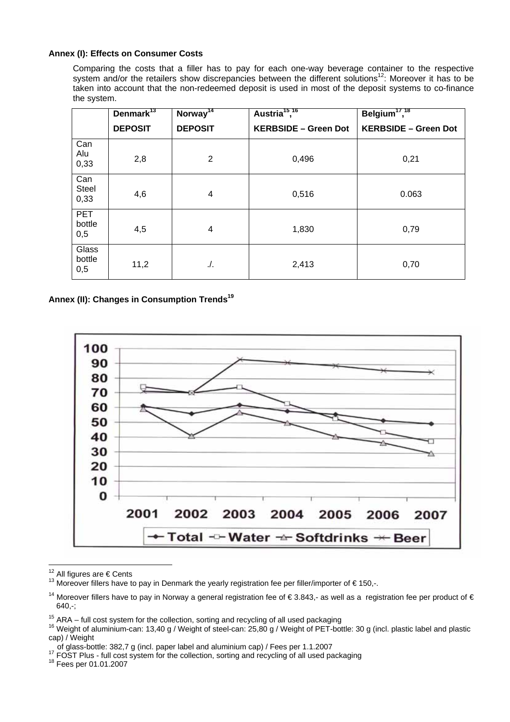#### **Annex (I): Effects on Consumer Costs**

Comparing the costs that a filler has to pay for each one-way beverage container to the respective system and/or the retailers show discrepancies between the different solutions<sup>12</sup>: Moreover it has to be taken into account that the non-redeemed deposit is used in most of the deposit systems to co-finance the system.

|                             | Denmark <sup>13</sup> | Norway <sup>14</sup> | Austria <sup>15,16</sup>    | Belgium <sup>17,18</sup>    |
|-----------------------------|-----------------------|----------------------|-----------------------------|-----------------------------|
|                             | <b>DEPOSIT</b>        | <b>DEPOSIT</b>       | <b>KERBSIDE - Green Dot</b> | <b>KERBSIDE - Green Dot</b> |
| Can<br>Alu<br>0,33          | 2,8                   | $\overline{2}$       | 0,496                       | 0,21                        |
| Can<br><b>Steel</b><br>0,33 | 4,6                   | 4                    | 0,516                       | 0.063                       |
| <b>PET</b><br>bottle<br>0,5 | 4,5                   | 4                    | 1,830                       | 0,79                        |
| Glass<br>bottle<br>0,5      | 11,2                  | $\Lambda$ .          | 2,413                       | 0,70                        |

### **Annex (II): Changes in Consumption Trends[19](#page-4-7)**



<span id="page-4-0"></span>12 All figures are  $\in$  Cents

<span id="page-4-1"></span><sup>13</sup> Moreover fillers have to pay in Denmark the yearly registration fee per filler/importer of  $\epsilon$  150,-.

<span id="page-4-2"></span><sup>14</sup> Moreover fillers have to pay in Norway a general registration fee of €3.843,- as well as a registration fee per product of € 640,-;

<span id="page-4-4"></span><span id="page-4-3"></span>

<sup>&</sup>lt;sup>15</sup> ARA – full cost system for the collection, sorting and recycling of all used packaging<br><sup>16</sup> Weight of aluminium-can: 13,40 g / Weight of steel-can: 25,80 g / Weight of PET-bottle: 30 g (incl. plastic label and plasti cap) / Weight

<span id="page-4-5"></span>

of glass-bottle: 382,7 g (incl. paper label and aluminium cap) / Fees per 1.1.2007<br><sup>17</sup> FOST Plus - full cost system for the collection, sorting and recycling of all used packaging<br><sup>18</sup> Fees per 01.01.2007

<span id="page-4-7"></span><span id="page-4-6"></span>